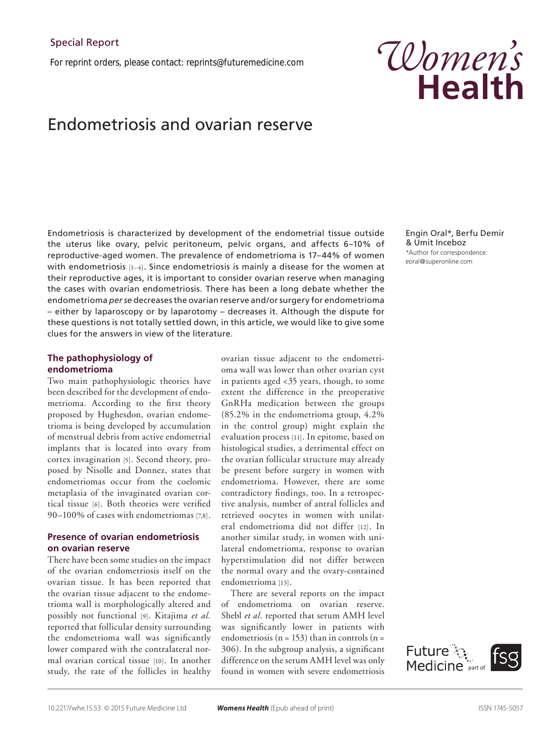*For reprint orders, please contact: reprints@futuremedicine.com*

# Endometriosis and ovarian reserve

Endometriosis is characterized by development of the endometrial tissue outside the uterus like ovary, pelvic peritoneum, pelvic organs, and affects 6–10% of reproductive-aged women. The prevalence of endometrioma is 17–44% of women with endometriosis  $[1-4]$ . Since endometriosis is mainly a disease for the women at their reproductive ages, it is important to consider ovarian reserve when managing the cases with ovarian endometriosis. There has been a long debate whether the endometrioma *per se* decreases the ovarian reserve and/or surgery for endometrioma – either by laparoscopy or by laparotomy – decreases it. Although the dispute for these questions is not totally settled down, in this article, we would like to give some clues for the answers in view of the literature.

## **The pathophysiology of endometrioma**

Two main pathophysiologic theories have been described for the development of endometrioma. According to the first theory proposed by Hughesdon, ovarian endometrioma is being developed by accumulation of menstrual debris from active endometrial implants that is located into ovary from cortex invagination [5]. Second theory, proposed by Nisolle and Donnez, states that endometriomas occur from the coelomic metaplasia of the invaginated ovarian cortical tissue [6]. Both theories were verified 90–100% of cases with endometriomas [7,8].

# **Presence of ovarian endometriosis on ovarian reserve**

There have been some studies on the impact of the ovarian endometriosis itself on the ovarian tissue. It has been reported that the ovarian tissue adjacent to the endometrioma wall is morphologically altered and possibly not functional [9]. Kitajima *et al.* reported that follicular density surrounding the endometrioma wall was significantly lower compared with the contralateral normal ovarian cortical tissue [10]. In another study, the rate of the follicles in healthy

ovarian tissue adjacent to the endometrioma wall was lower than other ovarian cyst in patients aged <35 years, though, to some extent the difference in the preoperative GnRHa medication between the groups (85.2% in the endometrioma group, 4.2% in the control group) might explain the evaluation process [11]. In epitome, based on histological studies, a detrimental effect on the ovarian follicular structure may already be present before surgery in women with endometrioma. However, there are some contradictory findings, too. In a retrospective analysis, number of antral follicles and retrieved oocytes in women with unilateral endometrioma did not differ [12]. In another similar study, in women with unilateral endometrioma, response to ovarian hyperstimulation did not differ between the normal ovary and the ovary-contained endometrioma [13].

There are several reports on the impact of endometrioma on ovarian reserve. Shebl *et al.* reported that serum AMH level was significantly lower in patients with endometriosis (n = 153) than in controls (n = 306). In the subgroup analysis, a significant difference on the serum AMH level was only found in women with severe endometriosis

Engin Oral\*, Berfu Demir & Umit Inceboz \*Author for correspondence: eoral@superonline.com

Future<br>Medicine

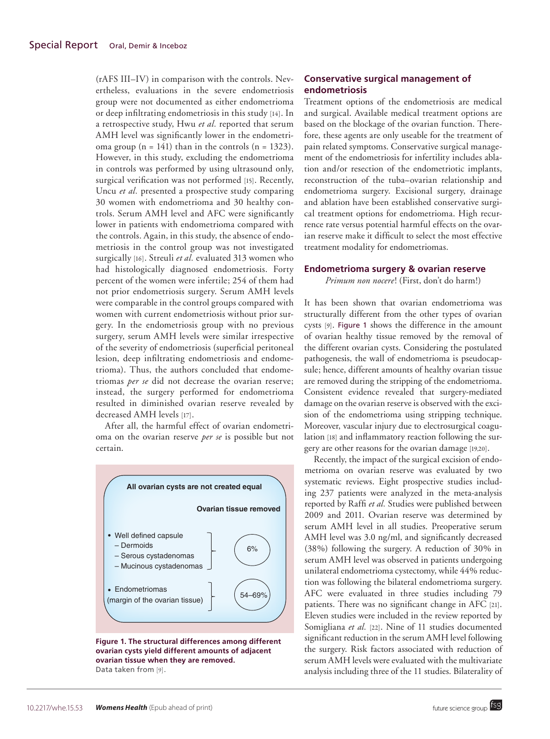(rAFS III–IV) in comparison with the controls. Nevertheless, evaluations in the severe endometriosis group were not documented as either endometrioma or deep infiltrating endometriosis in this study [14]. In a retrospective study, Hwu *et al.* reported that serum AMH level was significantly lower in the endometrioma group ( $n = 141$ ) than in the controls ( $n = 1323$ ). However, in this study, excluding the endometrioma in controls was performed by using ultrasound only, surgical verification was not performed [15]. Recently, Uncu *et al.* presented a prospective study comparing 30 women with endometrioma and 30 healthy controls. Serum AMH level and AFC were significantly lower in patients with endometrioma compared with the controls. Again, in this study, the absence of endometriosis in the control group was not investigated surgically [16]. Streuli *et al.* evaluated 313 women who had histologically diagnosed endometriosis. Forty percent of the women were infertile; 254 of them had not prior endometriosis surgery. Serum AMH levels were comparable in the control groups compared with women with current endometriosis without prior surgery. In the endometriosis group with no previous surgery, serum AMH levels were similar irrespective of the severity of endometriosis (superficial peritoneal lesion, deep infiltrating endometriosis and endometrioma). Thus, the authors concluded that endometriomas *per se* did not decrease the ovarian reserve; instead, the surgery performed for endometrioma resulted in diminished ovarian reserve revealed by decreased AMH levels [17].

After all, the harmful effect of ovarian endometrioma on the ovarian reserve *per se* is possible but not certain.



**Figure 1. The structural differences among different ovarian cysts yield different amounts of adjacent ovarian tissue when they are removed.** Data taken from [9].

## **Conservative surgical management of endometriosis**

Treatment options of the endometriosis are medical and surgical. Available medical treatment options are based on the blockage of the ovarian function. Therefore, these agents are only useable for the treatment of pain related symptoms. Conservative surgical management of the endometriosis for infertility includes ablation and/or resection of the endometriotic implants, reconstruction of the tuba–ovarian relationship and endometrioma surgery. Excisional surgery, drainage and ablation have been established conservative surgical treatment options for endometrioma. High recurrence rate versus potential harmful effects on the ovarian reserve make it difficult to select the most effective treatment modality for endometriomas.

## **Endometrioma surgery & ovarian reserve**

*Primum non nocere*! (First, don't do harm!)

It has been shown that ovarian endometrioma was structurally different from the other types of ovarian cysts [9]. Figure 1 shows the difference in the amount of ovarian healthy tissue removed by the removal of the different ovarian cysts. Considering the postulated pathogenesis, the wall of endometrioma is pseudocapsule; hence, different amounts of healthy ovarian tissue are removed during the stripping of the endometrioma. Consistent evidence revealed that surgery-mediated damage on the ovarian reserve is observed with the excision of the endometrioma using stripping technique. Moreover, vascular injury due to electrosurgical coagulation [18] and inflammatory reaction following the surgery are other reasons for the ovarian damage [19,20].

Recently, the impact of the surgical excision of endometrioma on ovarian reserve was evaluated by two systematic reviews. Eight prospective studies including 237 patients were analyzed in the meta-analysis reported by Raffi *et al.* Studies were published between 2009 and 2011. Ovarian reserve was determined by serum AMH level in all studies. Preoperative serum AMH level was 3.0 ng/ml, and significantly decreased (38%) following the surgery. A reduction of 30% in serum AMH level was observed in patients undergoing unilateral endometrioma cystectomy, while 44% reduction was following the bilateral endometrioma surgery. AFC were evaluated in three studies including 79 patients. There was no significant change in AFC [21]. Eleven studies were included in the review reported by Somigliana *et al.* [22]. Nine of 11 studies documented significant reduction in the serum AMH level following the surgery. Risk factors associated with reduction of serum AMH levels were evaluated with the multivariate analysis including three of the 11 studies. Bilaterality of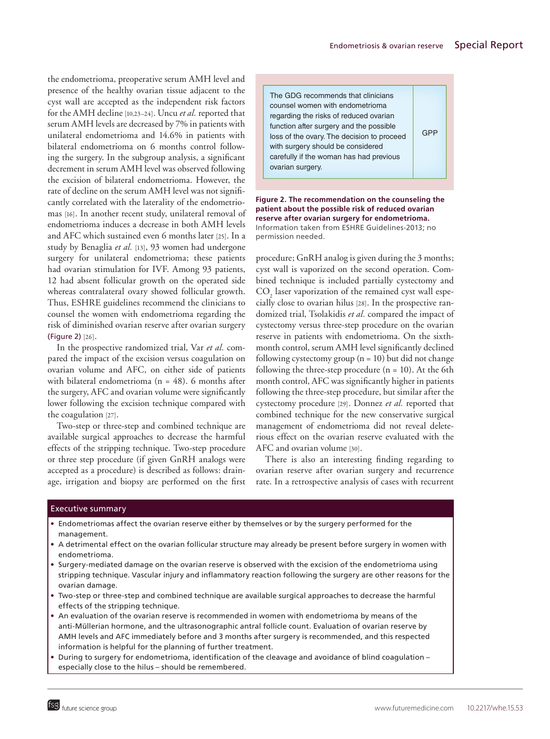the endometrioma, preoperative serum AMH level and presence of the healthy ovarian tissue adjacent to the cyst wall are accepted as the independent risk factors for the AMH decline [10,23–24]. Uncu *et al.* reported that serum AMH levels are decreased by 7% in patients with unilateral endometrioma and 14.6% in patients with bilateral endometrioma on 6 months control following the surgery. In the subgroup analysis, a significant decrement in serum AMH level was observed following the excision of bilateral endometrioma. However, the rate of decline on the serum AMH level was not significantly correlated with the laterality of the endometriomas [16]. In another recent study, unilateral removal of endometrioma induces a decrease in both AMH levels and AFC which sustained even 6 months later [25]. In a study by Benaglia *et al.* [13], 93 women had undergone surgery for unilateral endometrioma; these patients had ovarian stimulation for IVF. Among 93 patients, 12 had absent follicular growth on the operated side whereas contralateral ovary showed follicular growth. Thus, ESHRE guidelines recommend the clinicians to counsel the women with endometrioma regarding the risk of diminished ovarian reserve after ovarian surgery (Figure 2) [26].

In the prospective randomized trial, Var *et al.* compared the impact of the excision versus coagulation on ovarian volume and AFC, on either side of patients with bilateral endometrioma ( $n = 48$ ). 6 months after the surgery, AFC and ovarian volume were significantly lower following the excision technique compared with the coagulation [27].

Two-step or three-step and combined technique are available surgical approaches to decrease the harmful effects of the stripping technique. Two-step procedure or three step procedure (if given GnRH analogs were accepted as a procedure) is described as follows: drainage, irrigation and biopsy are performed on the first

The GDG recommends that clinicians counsel women with endometrioma regarding the risks of reduced ovarian function after surgery and the possible loss of the ovary. The decision to proceed with surgery should be considered carefully if the woman has had previous ovarian surgery. GPP

**Figure 2. The recommendation on the counseling the patient about the possible risk of reduced ovarian reserve after ovarian surgery for endometrioma.** Information taken from ESHRE Guidelines-2013; no

permission needed.

procedure; GnRH analog is given during the 3 months; cyst wall is vaporized on the second operation. Combined technique is included partially cystectomy and  $\mathrm{CO}_2$  laser vaporization of the remained cyst wall especially close to ovarian hilus [28]. In the prospective randomized trial, Tsolakidis *et al.* compared the impact of cystectomy versus three-step procedure on the ovarian reserve in patients with endometrioma. On the sixthmonth control, serum AMH level significantly declined following cystectomy group  $(n = 10)$  but did not change following the three-step procedure  $(n = 10)$ . At the 6th month control, AFC was significantly higher in patients following the three-step procedure, but similar after the cystectomy procedure [29]. Donnez *et al.* reported that combined technique for the new conservative surgical management of endometrioma did not reveal deleterious effect on the ovarian reserve evaluated with the AFC and ovarian volume [30].

There is also an interesting finding regarding to ovarian reserve after ovarian surgery and recurrence rate. In a retrospective analysis of cases with recurrent

#### Executive summary

- • Endometriomas affect the ovarian reserve either by themselves or by the surgery performed for the management.
- • A detrimental effect on the ovarian follicular structure may already be present before surgery in women with endometrioma.
- • Surgery-mediated damage on the ovarian reserve is observed with the excision of the endometrioma using stripping technique. Vascular injury and inflammatory reaction following the surgery are other reasons for the ovarian damage.
- • Two-step or three-step and combined technique are available surgical approaches to decrease the harmful effects of the stripping technique.
- • An evaluation of the ovarian reserve is recommended in women with endometrioma by means of the anti-Müllerian hormone, and the ultrasonographic antral follicle count. Evaluation of ovarian reserve by AMH levels and AFC immediately before and 3 months after surgery is recommended, and this respected information is helpful for the planning of further treatment.
- During to surgery for endometrioma, identification of the cleavage and avoidance of blind coagulation especially close to the hilus – should be remembered.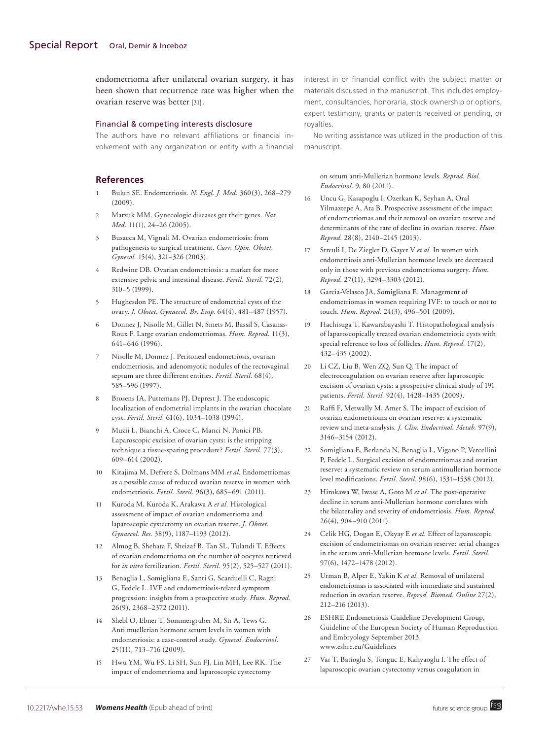endometrioma after unilateral ovarian surgery, it has been shown that recurrence rate was higher when the ovarian reserve was better [31].

#### Financial & competing interests disclosure

The authors have no relevant affiliations or financial involvement with any organization or entity with a financial

#### **References**

- 1 Bulun SE. Endometriosis. *N. Engl. J. Med.* 360(3), 268–279  $(2009)$
- 2 Matzuk MM. Gynecologic diseases get their genes. *Nat. Med.* 11(1), 24–26 (2005).
- 3 Busacca M, Vignali M. Ovarian endometriosis: from pathogenesis to surgical treatment. *Curr. Opin. Obstet. Gynecol.* 15(4), 321–326 (2003).
- Redwine DB. Ovarian endometriosis: a marker for more extensive pelvic and intestinal disease. *Fertil. Steril.* 72(2), 310–5 (1999).
- Hughesdon PE. The structure of endometrial cysts of the ovary. *J. Obstet. Gynaecol. Br. Emp.* 64(4), 481–487 (1957).
- 6 Donnez J, Nisolle M, Gillet N, Smets M, Bassil S, Casanas-Roux F. Large ovarian endometriomas. *Hum. Reprod.* 11(3), 641–646 (1996).
- 7 Nisolle M, Donnez J. Peritoneal endometriosis, ovarian endometriosis, and adenomyotic nodules of the rectovaginal septum are three different entities. *Fertil. Steril.* 68(4), 585–596 (1997).
- 8 Brosens IA, Puttemans PJ, Deprest J. The endoscopic localization of endometrial implants in the ovarian chocolate cyst. *Fertil. Steril.* 61(6), 1034–1038 (1994).
- 9 Muzii L, Bianchi A, Croce C, Manci N, Panici PB. Laparoscopic excision of ovarian cysts: is the stripping technique a tissue-sparing procedure? *Fertil. Steril.* 77(3), 609–614 (2002).
- 10 Kitajima M, Defrere S, Dolmans MM *et al.* Endometriomas as a possible cause of reduced ovarian reserve in women with endometriosis. *Fertil. Steril.* 96(3), 685–691 (2011).
- 11 Kuroda M, Kuroda K, Arakawa A *et al.* Histological assessment of impact of ovarian endometrioma and laparoscopic cystectomy on ovarian reserve. *J. Obstet. Gynaecol. Res.* 38(9), 1187–1193 (2012).
- 12 Almog B, Shehata F, Sheizaf B, Tan SL, Tulandi T. Effects of ovarian endometrioma on the number of oocytes retrieved for *in vitro* fertilization. *Fertil. Steril.* 95(2), 525–527 (2011).
- 13 Benaglia L, Somigliana E, Santi G, Scarduelli C, Ragni G, Fedele L. IVF and endometriosis-related symptom progression: insights from a prospective study. *Hum. Reprod.* 26(9), 2368–2372 (2011).
- 14 Shebl O, Ebner T, Sommergruber M, Sir A, Tews G. Anti muellerian hormone serum levels in women with endometriosis: a case-control study. *Gynecol. Endocrinol.* 25(11), 713–716 (2009).
- 15 Hwu YM, Wu FS, Li SH, Sun FJ, Lin MH, Lee RK. The impact of endometrioma and laparoscopic cystectomy

interest in or financial conflict with the subject matter or materials discussed in the manuscript. This includes employment, consultancies, honoraria, stock ownership or options, expert testimony, grants or patents received or pending, or royalties.

No writing assistance was utilized in the production of this manuscript.

on serum anti-Mullerian hormone levels. *Reprod. Biol. Endocrinol.* 9, 80 (2011).

- 16 Uncu G, Kasapoglu I, Ozerkan K, Seyhan A, Oral Yilmaztepe A, Ata B. Prospective assessment of the impact of endometriomas and their removal on ovarian reserve and determinants of the rate of decline in ovarian reserve. *Hum. Reprod.* 28(8), 2140–2145 (2013).
- 17 Streuli I, De Ziegler D, Gayet V *et al.* In women with endometriosis anti-Mullerian hormone levels are decreased only in those with previous endometrioma surgery. *Hum. Reprod.* 27(11), 3294–3303 (2012).
- 18 Garcia-Velasco JA, Somigliana E. Management of endometriomas in women requiring IVF: to touch or not to touch. *Hum. Reprod.* 24(3), 496–501 (2009).
- 19 Hachisuga T, Kawarabayashi T. Histopathological analysis of laparoscopically treated ovarian endometriotic cysts with special reference to loss of follicles. *Hum. Reprod.* 17(2), 432–435 (2002).
- 20 Li CZ, Liu B, Wen ZQ, Sun Q. The impact of electrocoagulation on ovarian reserve after laparoscopic excision of ovarian cysts: a prospective clinical study of 191 patients. *Fertil. Steril.* 92(4), 1428–1435 (2009).
- 21 Raffi F, Metwally M, Amer S. The impact of excision of ovarian endometrioma on ovarian reserve: a systematic review and meta-analysis. *J. Clin. Endocrinol. Metab.* 97(9), 3146–3154 (2012).
- 22 Somigliana E, Berlanda N, Benaglia L, Vigano P, Vercellini P, Fedele L. Surgical excision of endometriomas and ovarian reserve: a systematic review on serum antimullerian hormone level modifications. *Fertil. Steril.* 98(6), 1531–1538 (2012).
- 23 Hirokawa W, Iwase A, Goto M *et al.* The post-operative decline in serum anti-Mullerian hormone correlates with the bilaterality and severity of endometriosis. *Hum. Reprod.* 26(4), 904–910 (2011).
- 24 Celik HG, Dogan E, Okyay E *et al.* Effect of laparoscopic excision of endometriomas on ovarian reserve: serial changes in the serum anti-Mullerian hormone levels. *Fertil. Steril.* 97(6), 1472–1478 (2012).
- 25 Urman B, Alper E, Yakin K *et al.* Removal of unilateral endometriomas is associated with immediate and sustained reduction in ovarian reserve. *Reprod. Biomed. Online* 27(2), 212–216 (2013).
- 26 ESHRE Endometriosis Guideline Development Group, Guideline of the European Society of Human Reproduction and Embryology September 2013. <www.eshre.eu/Guidelines>
- 27 Var T, Batioglu S, Tonguc E, Kahyaoglu I. The effect of laparoscopic ovarian cystectomy versus coagulation in